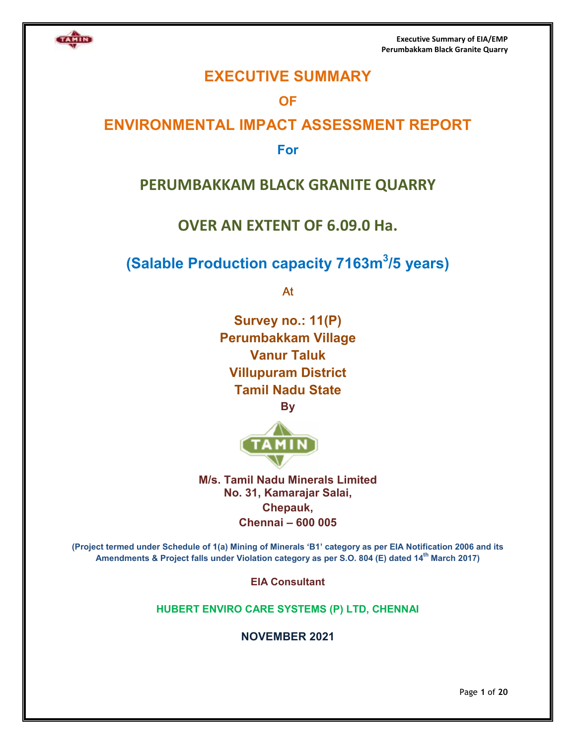

**Executive Summary of EIA/EMP Perumbakkam Perumbakkam Black Granite Quarry** 

# **EXECUTIVE SUMMARY**

# **OF**

# **ENVIRONMENTAL IMPACT ASSESSMENT REPORT ENVIRONMENTAL**

## **For**

# **PERUMBAKKAM BLACK GRANITE QUARRY**

# **OVER AN EXTENT OF 6.09.0 Ha.**

# **(Salable Production capacity 7163m<sup>3</sup>/5 years)**

At

**Survey no.: 11(P) Perumbakkam Village Vanur Taluk Villupuram District Tamil Nadu State By** 



**M/s. Tamil Nadu Minerals Limited No. 31, Kamarajar Salai, Chepauk, Chennai – 600 005** 

**(Project termed under Schedule of 1(a) Mining of Minerals 'B 'B1' category as per EIA Notification 2006 and its**  ct termed under Schedule of 1(a) Mining of Minerals 'B1' category as per EIA Notification 2006 and<br>Amendments & Project falls under Violation category as per S.O. 804 (E) dated 14<sup>th</sup> March 2017)

**EIA Consultant** 

**HUBERT ENVIRO CARE SYSTEMS (P) LTD, CHENNAI ENVIRO CHENNAI**

**NOVEMBER 2021** 

Page **1** of **20**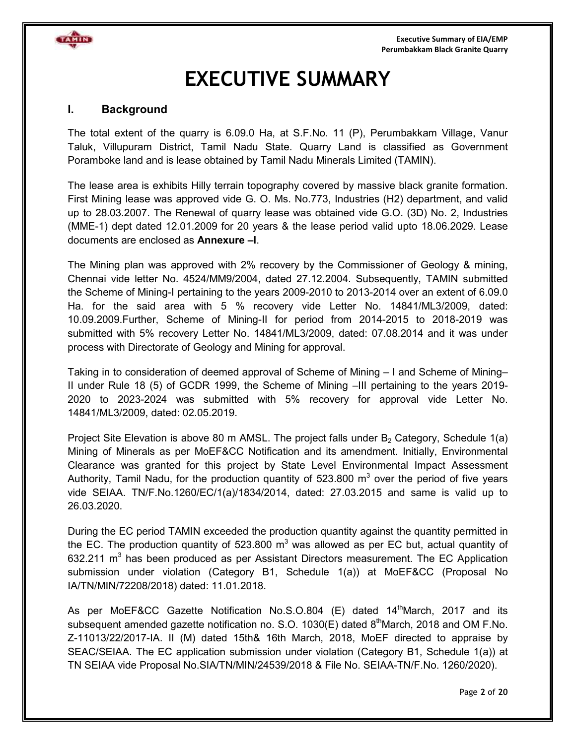

# **EXECUTIVE SUMMARY**

#### **I. Background**

The total extent of the quarry is 6.09.0 Ha, at S.F.No. 11 (P), Perumbakkam Village, Vanur Taluk, Villupuram District, Tamil Nadu State. Quarry Land is classified as Government Poramboke land and is lease obtained by Tamil Nadu Minerals Limited (TAMIN).

The lease area is exhibits Hilly terrain topography covered by massive black granite formation. First Mining lease was approved vide G. O. Ms. No.773, Industries (H2) department, and valid up to 28.03.2007. The Renewal of quarry lease was obtained vide G.O. (3D) No. 2, Industries (MME-1) dept dated 12.01.2009 for 20 years & the lease period valid upto 18.06.2029. Lease documents are enclosed as **Annexure –I**.

The Mining plan was approved with 2% recovery by the Commissioner of Geology & mining, Chennai vide letter No. 4524/MM9/2004, dated 27.12.2004. Subsequently, TAMIN submitted the Scheme of Mining-I pertaining to the years 2009-2010 to 2013-2014 over an extent of 6.09.0 Ha. for the said area with 5 % recovery vide Letter No. 14841/ML3/2009, dated: 10.09.2009.Further, Scheme of Mining-II for period from 2014-2015 to 2018-2019 was submitted with 5% recovery Letter No. 14841/ML3/2009, dated: 07.08.2014 and it was under process with Directorate of Geology and Mining for approval.

Taking in to consideration of deemed approval of Scheme of Mining – I and Scheme of Mining– II under Rule 18 (5) of GCDR 1999, the Scheme of Mining –III pertaining to the years 2019- 2020 to 2023-2024 was submitted with 5% recovery for approval vide Letter No. 14841/ML3/2009, dated: 02.05.2019.

Project Site Elevation is above 80 m AMSL. The project falls under  $B_2$  Category, Schedule 1(a) Mining of Minerals as per MoEF&CC Notification and its amendment. Initially, Environmental Clearance was granted for this project by State Level Environmental Impact Assessment Authority, Tamil Nadu, for the production quantity of 523.800  $m^3$  over the period of five years vide SEIAA. TN/F.No.1260/EC/1(a)/1834/2014, dated: 27.03.2015 and same is valid up to 26.03.2020.

During the EC period TAMIN exceeded the production quantity against the quantity permitted in the EC. The production quantity of 523.800 m $^3$  was allowed as per EC but, actual quantity of 632.211 m<sup>3</sup> has been produced as per Assistant Directors measurement. The EC Application submission under violation (Category B1, Schedule 1(a)) at MoEF&CC (Proposal No IA/TN/MIN/72208/2018) dated: 11.01.2018.

As per MoEF&CC Gazette Notification No.S.O.804 (E) dated  $14^{\text{th}}$ March, 2017 and its subsequent amended gazette notification no. S.O. 1030(E) dated  $8<sup>th</sup>$ March, 2018 and OM F.No. Z-11013/22/2017-IA. II (M) dated 15th& 16th March, 2018, MoEF directed to appraise by SEAC/SEIAA. The EC application submission under violation (Category B1, Schedule 1(a)) at TN SEIAA vide Proposal No.SIA/TN/MIN/24539/2018 & File No. SEIAA-TN/F.No. 1260/2020).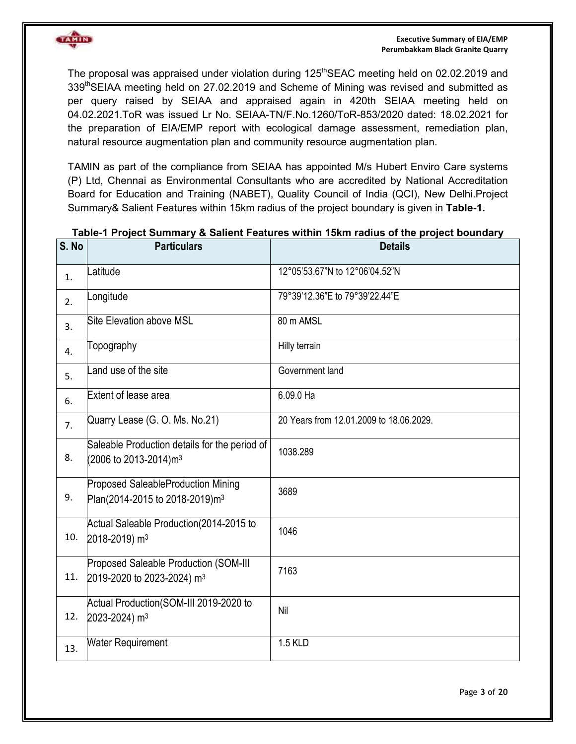

The proposal was appraised under violation during 125<sup>th</sup>SEAC meeting held on 02.02.2019 and 339thSEIAA meeting held on 27.02.2019 and Scheme of Mining was revised and submitted as per query raised by SEIAA and appraised again in 420th SEIAA meeting held on 04.02.2021.ToR was issued Lr No. SEIAA-TN/F.No.1260/ToR-853/2020 dated: 18.02.2021 for the preparation of EIA/EMP report with ecological damage assessment, remediation plan, natural resource augmentation plan and community resource augmentation plan.

TAMIN as part of the compliance from SEIAA has appointed M/s Hubert Enviro Care systems (P) Ltd, Chennai as Environmental Consultants who are accredited by National Accreditation Board for Education and Training (NABET), Quality Council of India (QCI), New Delhi.Project Summary& Salient Features within 15km radius of the project boundary is given in **Table-1.**

| S. No | <b>Particulars</b>                                                                      | <b>Details</b>                          |
|-------|-----------------------------------------------------------------------------------------|-----------------------------------------|
| 1.    | atitude                                                                                 | 12°05'53.67"N to 12°06'04.52"N          |
| 2.    | .ongitude                                                                               | 79°39'12.36"E to 79°39'22.44"E          |
| 3.    | <b>Site Elevation above MSL</b>                                                         | 80 m AMSL                               |
| 4.    | Topography                                                                              | Hilly terrain                           |
| 5.    | and use of the site                                                                     | Government land                         |
| 6.    | Extent of lease area                                                                    | 6.09.0 Ha                               |
| 7.    | Quarry Lease (G. O. Ms. No.21)                                                          | 20 Years from 12.01.2009 to 18.06.2029. |
| 8.    | Saleable Production details for the period of<br>(2006 to 2013-2014)m <sup>3</sup>      | 1038.289                                |
| 9.    | <b>Proposed SaleableProduction Mining</b><br>Plan(2014-2015 to 2018-2019)m <sup>3</sup> | 3689                                    |
| 10.   | Actual Saleable Production(2014-2015 to<br>2018-2019) m <sup>3</sup>                    | 1046                                    |
| 11.   | Proposed Saleable Production (SOM-III<br>2019-2020 to 2023-2024) m <sup>3</sup>         | 7163                                    |
| 12.   | Actual Production(SOM-III 2019-2020 to<br>2023-2024) m <sup>3</sup>                     | Nil                                     |
| 13.   | <b>Water Requirement</b>                                                                | 1.5 KLD                                 |

#### **Table-1 Project Summary & Salient Features within 15km radius of the project boundary**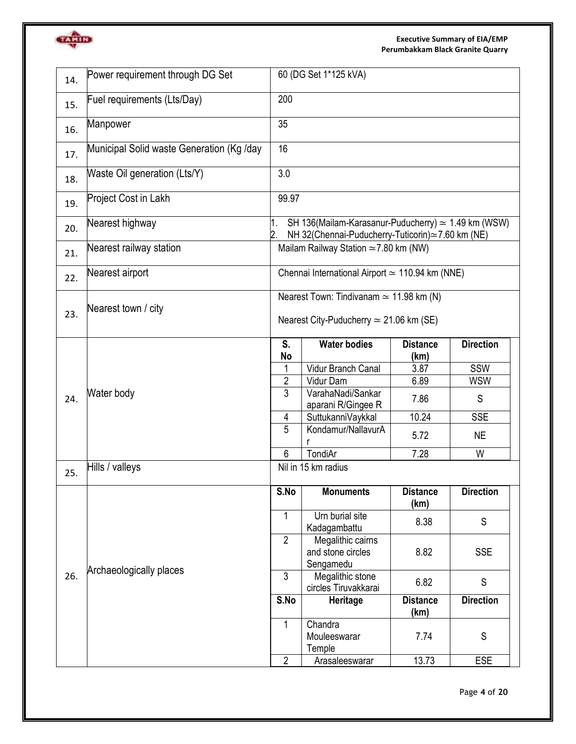

#### **Executive Summary of EIA/EMP Perumbakkam Black Granite Quarry**

| 200<br>Fuel requirements (Lts/Day)<br>15.<br>35<br>Manpower<br>16.<br>16<br>Municipal Solid waste Generation (Kg /day<br>17.<br>3.0<br>Waste Oil generation (Lts/Y)<br>18.<br>Project Cost in Lakh<br>99.97<br>19.<br>Nearest highway<br>SH 136(Mailam-Karasanur-Puducherry) $\simeq$ 1.49 km (WSW)<br>1.<br>20.<br>NH 32(Chennai-Puducherry-Tuticorin)≃7.60 km (NE)<br>Nearest railway station<br>Mailam Railway Station $\simeq$ 7.80 km (NW)<br>21.<br>Chennai International Airport $\simeq$ 110.94 km (NNE)<br>Nearest airport<br>22.<br>Nearest Town: Tindivanam $\simeq$ 11.98 km (N)<br>Nearest town / city<br>23.<br>Nearest City-Puducherry $\simeq$ 21.06 km (SE)<br><b>Water bodies</b><br>S.<br><b>Distance</b><br><b>No</b><br>(km)<br>Vidur Branch Canal<br>3.87<br>SSW<br>1<br>$\overline{2}$<br><b>WSW</b><br>Vidur Dam<br>6.89<br>3<br>VarahaNadi/Sankar<br>Water body<br>24.<br>S<br>7.86<br>aparani R/Gingee R<br>SuttukanniVaykkal<br>10.24<br><b>SSE</b><br>4<br>5<br>Kondamur/NallavurA<br><b>NE</b><br>5.72<br>TondiAr<br>6<br>7.28<br>W<br>Hills / valleys<br>Nil in 15 km radius<br>25.<br><b>Monuments</b><br>S.No<br><b>Distance</b><br>(km)<br>1<br>Urn burial site<br>S<br>8.38<br>Kadagambattu<br>$\overline{2}$<br>Megalithic cairns<br>8.82<br><b>SSE</b><br>and stone circles<br>Sengamedu<br>Archaeologically places<br>3<br>26.<br>Megalithic stone<br>S<br>6.82<br>circles Tiruvakkarai<br>S.No<br>Heritage<br><b>Distance</b><br>(km) | 14. | Power requirement through DG Set | 60 (DG Set 1*125 kVA) |         |  |                  |  |  |
|-----------------------------------------------------------------------------------------------------------------------------------------------------------------------------------------------------------------------------------------------------------------------------------------------------------------------------------------------------------------------------------------------------------------------------------------------------------------------------------------------------------------------------------------------------------------------------------------------------------------------------------------------------------------------------------------------------------------------------------------------------------------------------------------------------------------------------------------------------------------------------------------------------------------------------------------------------------------------------------------------------------------------------------------------------------------------------------------------------------------------------------------------------------------------------------------------------------------------------------------------------------------------------------------------------------------------------------------------------------------------------------------------------------------------------------------------------------------------------|-----|----------------------------------|-----------------------|---------|--|------------------|--|--|
|                                                                                                                                                                                                                                                                                                                                                                                                                                                                                                                                                                                                                                                                                                                                                                                                                                                                                                                                                                                                                                                                                                                                                                                                                                                                                                                                                                                                                                                                             |     |                                  |                       |         |  |                  |  |  |
|                                                                                                                                                                                                                                                                                                                                                                                                                                                                                                                                                                                                                                                                                                                                                                                                                                                                                                                                                                                                                                                                                                                                                                                                                                                                                                                                                                                                                                                                             |     |                                  |                       |         |  |                  |  |  |
|                                                                                                                                                                                                                                                                                                                                                                                                                                                                                                                                                                                                                                                                                                                                                                                                                                                                                                                                                                                                                                                                                                                                                                                                                                                                                                                                                                                                                                                                             |     |                                  |                       |         |  |                  |  |  |
|                                                                                                                                                                                                                                                                                                                                                                                                                                                                                                                                                                                                                                                                                                                                                                                                                                                                                                                                                                                                                                                                                                                                                                                                                                                                                                                                                                                                                                                                             |     |                                  |                       |         |  |                  |  |  |
|                                                                                                                                                                                                                                                                                                                                                                                                                                                                                                                                                                                                                                                                                                                                                                                                                                                                                                                                                                                                                                                                                                                                                                                                                                                                                                                                                                                                                                                                             |     |                                  |                       |         |  |                  |  |  |
|                                                                                                                                                                                                                                                                                                                                                                                                                                                                                                                                                                                                                                                                                                                                                                                                                                                                                                                                                                                                                                                                                                                                                                                                                                                                                                                                                                                                                                                                             |     |                                  |                       |         |  |                  |  |  |
|                                                                                                                                                                                                                                                                                                                                                                                                                                                                                                                                                                                                                                                                                                                                                                                                                                                                                                                                                                                                                                                                                                                                                                                                                                                                                                                                                                                                                                                                             |     |                                  |                       |         |  |                  |  |  |
|                                                                                                                                                                                                                                                                                                                                                                                                                                                                                                                                                                                                                                                                                                                                                                                                                                                                                                                                                                                                                                                                                                                                                                                                                                                                                                                                                                                                                                                                             |     |                                  |                       |         |  |                  |  |  |
|                                                                                                                                                                                                                                                                                                                                                                                                                                                                                                                                                                                                                                                                                                                                                                                                                                                                                                                                                                                                                                                                                                                                                                                                                                                                                                                                                                                                                                                                             |     |                                  |                       |         |  |                  |  |  |
|                                                                                                                                                                                                                                                                                                                                                                                                                                                                                                                                                                                                                                                                                                                                                                                                                                                                                                                                                                                                                                                                                                                                                                                                                                                                                                                                                                                                                                                                             |     |                                  |                       |         |  | <b>Direction</b> |  |  |
|                                                                                                                                                                                                                                                                                                                                                                                                                                                                                                                                                                                                                                                                                                                                                                                                                                                                                                                                                                                                                                                                                                                                                                                                                                                                                                                                                                                                                                                                             |     |                                  |                       |         |  |                  |  |  |
|                                                                                                                                                                                                                                                                                                                                                                                                                                                                                                                                                                                                                                                                                                                                                                                                                                                                                                                                                                                                                                                                                                                                                                                                                                                                                                                                                                                                                                                                             |     |                                  |                       |         |  |                  |  |  |
|                                                                                                                                                                                                                                                                                                                                                                                                                                                                                                                                                                                                                                                                                                                                                                                                                                                                                                                                                                                                                                                                                                                                                                                                                                                                                                                                                                                                                                                                             |     |                                  |                       |         |  |                  |  |  |
|                                                                                                                                                                                                                                                                                                                                                                                                                                                                                                                                                                                                                                                                                                                                                                                                                                                                                                                                                                                                                                                                                                                                                                                                                                                                                                                                                                                                                                                                             |     |                                  |                       |         |  |                  |  |  |
|                                                                                                                                                                                                                                                                                                                                                                                                                                                                                                                                                                                                                                                                                                                                                                                                                                                                                                                                                                                                                                                                                                                                                                                                                                                                                                                                                                                                                                                                             |     |                                  |                       |         |  |                  |  |  |
|                                                                                                                                                                                                                                                                                                                                                                                                                                                                                                                                                                                                                                                                                                                                                                                                                                                                                                                                                                                                                                                                                                                                                                                                                                                                                                                                                                                                                                                                             |     |                                  |                       |         |  |                  |  |  |
|                                                                                                                                                                                                                                                                                                                                                                                                                                                                                                                                                                                                                                                                                                                                                                                                                                                                                                                                                                                                                                                                                                                                                                                                                                                                                                                                                                                                                                                                             |     |                                  |                       |         |  |                  |  |  |
|                                                                                                                                                                                                                                                                                                                                                                                                                                                                                                                                                                                                                                                                                                                                                                                                                                                                                                                                                                                                                                                                                                                                                                                                                                                                                                                                                                                                                                                                             |     |                                  |                       |         |  | <b>Direction</b> |  |  |
|                                                                                                                                                                                                                                                                                                                                                                                                                                                                                                                                                                                                                                                                                                                                                                                                                                                                                                                                                                                                                                                                                                                                                                                                                                                                                                                                                                                                                                                                             |     |                                  |                       |         |  |                  |  |  |
|                                                                                                                                                                                                                                                                                                                                                                                                                                                                                                                                                                                                                                                                                                                                                                                                                                                                                                                                                                                                                                                                                                                                                                                                                                                                                                                                                                                                                                                                             |     |                                  |                       |         |  |                  |  |  |
|                                                                                                                                                                                                                                                                                                                                                                                                                                                                                                                                                                                                                                                                                                                                                                                                                                                                                                                                                                                                                                                                                                                                                                                                                                                                                                                                                                                                                                                                             |     |                                  |                       |         |  |                  |  |  |
|                                                                                                                                                                                                                                                                                                                                                                                                                                                                                                                                                                                                                                                                                                                                                                                                                                                                                                                                                                                                                                                                                                                                                                                                                                                                                                                                                                                                                                                                             |     |                                  |                       |         |  | <b>Direction</b> |  |  |
| S<br>Mouleeswarar<br>7.74<br>Temple                                                                                                                                                                                                                                                                                                                                                                                                                                                                                                                                                                                                                                                                                                                                                                                                                                                                                                                                                                                                                                                                                                                                                                                                                                                                                                                                                                                                                                         |     |                                  | 1                     | Chandra |  |                  |  |  |
| 13.73<br>$\overline{2}$<br><b>ESE</b><br>Arasaleeswarar                                                                                                                                                                                                                                                                                                                                                                                                                                                                                                                                                                                                                                                                                                                                                                                                                                                                                                                                                                                                                                                                                                                                                                                                                                                                                                                                                                                                                     |     |                                  |                       |         |  |                  |  |  |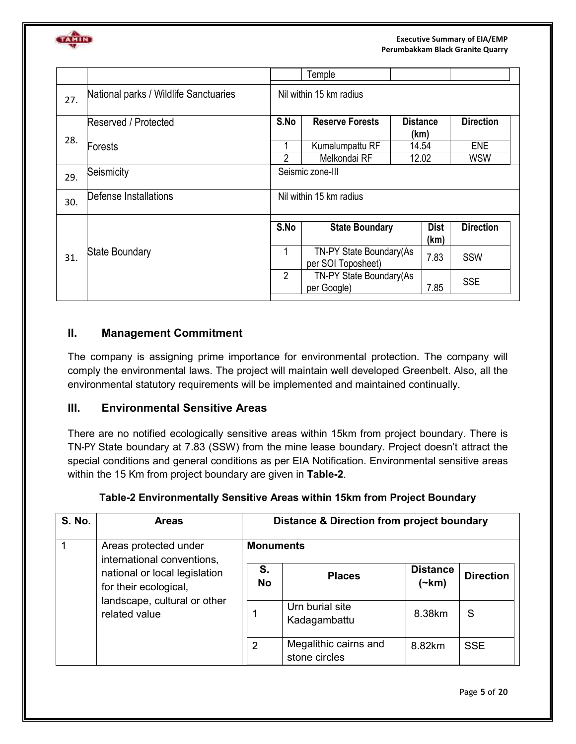

|     |                                       |                | Temple                                         |                         |                  |
|-----|---------------------------------------|----------------|------------------------------------------------|-------------------------|------------------|
| 27. | National parks / Wildlife Sanctuaries |                | Nil within 15 km radius                        |                         |                  |
| 28. | Reserved / Protected                  | S.No           | <b>Reserve Forests</b>                         | <b>Distance</b><br>(km) | <b>Direction</b> |
|     | Forests                               |                | Kumalumpattu RF                                | 14.54                   | <b>ENE</b>       |
|     |                                       | $\overline{2}$ | Melkondai RF                                   | 12.02                   | <b>WSW</b>       |
| 29. | Seismicity                            |                | Seismic zone-III                               |                         |                  |
| 30. | Defense Installations                 |                | Nil within 15 km radius                        |                         |                  |
|     |                                       | S.No           | <b>State Boundary</b>                          | <b>Dist</b><br>(km)     | <b>Direction</b> |
| 31. | <b>State Boundary</b>                 | 1              | TN-PY State Boundary (As<br>per SOI Toposheet) |                         | <b>SSW</b>       |
|     |                                       | 2              | TN-PY State Boundary (As<br>per Google)        | 7.85                    | <b>SSE</b>       |

## **II. Management Commitment**

The company is assigning prime importance for environmental protection. The company will comply the environmental laws. The project will maintain well developed Greenbelt. Also, all the environmental statutory requirements will be implemented and maintained continually.

## **III. Environmental Sensitive Areas**

There are no notified ecologically sensitive areas within 15km from project boundary. There is TN-PY State boundary at 7.83 (SSW) from the mine lease boundary. Project doesn't attract the special conditions and general conditions as per EIA Notification. Environmental sensitive areas within the 15 Km from project boundary are given in **Table-2**.

| <b>S. No.</b> | <b>Areas</b>                                                                                            | <b>Distance &amp; Direction from project boundary</b> |                                        |                                |                  |  |  |
|---------------|---------------------------------------------------------------------------------------------------------|-------------------------------------------------------|----------------------------------------|--------------------------------|------------------|--|--|
|               | Areas protected under<br>international conventions,                                                     | <b>Monuments</b>                                      |                                        |                                |                  |  |  |
|               | national or local legislation<br>for their ecological,<br>landscape, cultural or other<br>related value | S.<br><b>No</b>                                       | <b>Places</b>                          | <b>Distance</b><br>$(\sim km)$ | <b>Direction</b> |  |  |
|               |                                                                                                         |                                                       | Urn burial site<br>Kadagambattu        | 8.38km                         | S                |  |  |
|               |                                                                                                         | $\overline{2}$                                        | Megalithic cairns and<br>stone circles | 8.82km                         | <b>SSE</b>       |  |  |

## **Table-2 Environmentally Sensitive Areas within 15km from Project Boundary**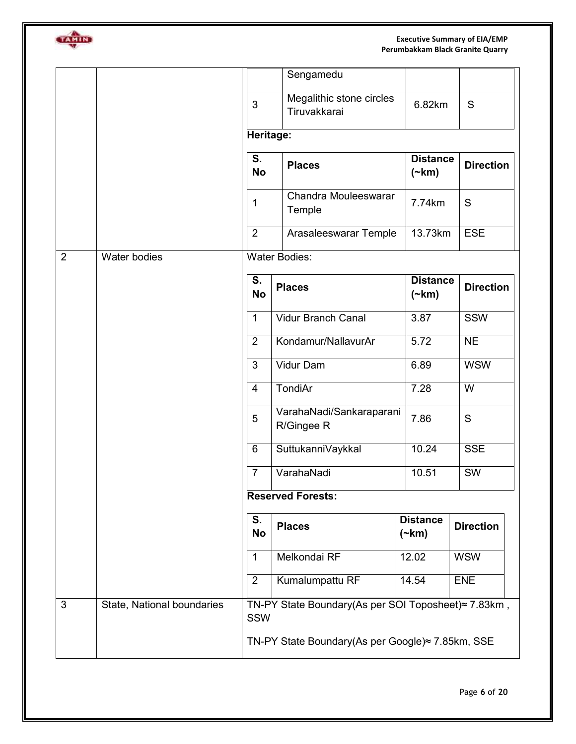GATION

#### **Executive Summary of EIA/EMP Perumbakkam Black Granite Quarry**

|   |                            |                 | Sengamedu                                                                                               |                                |                  |
|---|----------------------------|-----------------|---------------------------------------------------------------------------------------------------------|--------------------------------|------------------|
|   |                            | 3               | Megalithic stone circles<br>Tiruvakkarai                                                                | 6.82km                         | S                |
|   |                            | Heritage:       |                                                                                                         |                                |                  |
|   |                            | S.<br><b>No</b> | <b>Places</b>                                                                                           | <b>Distance</b><br>$(\sim km)$ | <b>Direction</b> |
|   |                            | 1               | Chandra Mouleeswarar<br>Temple                                                                          | 7.74km                         | S                |
|   |                            | $\overline{2}$  | Arasaleeswarar Temple                                                                                   | 13.73km                        | <b>ESE</b>       |
| 2 | <b>Water bodies</b>        |                 | <b>Water Bodies:</b>                                                                                    |                                |                  |
|   |                            | S.<br><b>No</b> | <b>Places</b>                                                                                           | <b>Distance</b><br>$(\neg km)$ | <b>Direction</b> |
|   |                            | $\mathbf{1}$    | <b>Vidur Branch Canal</b>                                                                               | 3.87                           | SSW              |
|   |                            | $\overline{2}$  | Kondamur/NallavurAr                                                                                     | 5.72                           | <b>NE</b>        |
|   |                            | 3               | Vidur Dam                                                                                               | 6.89                           | <b>WSW</b>       |
|   |                            | $\overline{4}$  | TondiAr                                                                                                 | 7.28                           | W                |
|   |                            | 5               | VarahaNadi/Sankaraparani<br>R/Gingee R                                                                  | 7.86                           | S                |
|   |                            | 6               | SuttukanniVaykkal                                                                                       | 10.24                          | <b>SSE</b>       |
|   |                            | $\overline{7}$  | VarahaNadi                                                                                              | 10.51                          | SW               |
|   |                            |                 | <b>Reserved Forests:</b>                                                                                |                                |                  |
|   |                            | S.<br><b>No</b> | <b>Places</b>                                                                                           | <b>Distance</b><br>$(\sim km)$ | <b>Direction</b> |
|   |                            | $\mathbf 1$     | Melkondai RF                                                                                            | 12.02                          | <b>WSW</b>       |
|   |                            | $\overline{2}$  | Kumalumpattu RF                                                                                         | 14.54                          | ENE              |
| 3 | State, National boundaries | SSW             | TN-PY State Boundary(As per SOI Toposheet)≈ 7.83km,<br>TN-PY State Boundary(As per Google)≈ 7.85km, SSE |                                |                  |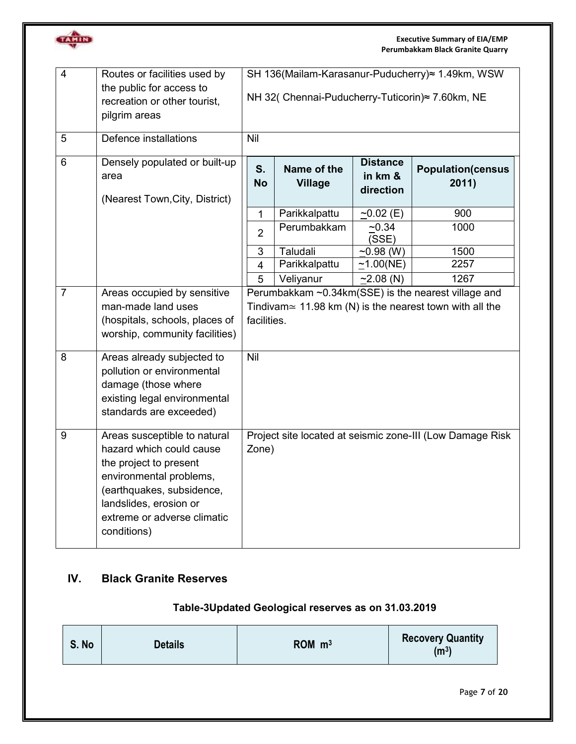

| $\overline{4}$ | Routes or facilities used by<br>the public for access to<br>recreation or other tourist,<br>pilgrim areas                                                                                                          | SH 136(Mailam-Karasanur-Puducherry)≈ 1.49km, WSW<br>NH 32( Chennai-Puducherry-Tuticorin)≈ 7.60km, NE |                               |                                         |                                                                                                                        |
|----------------|--------------------------------------------------------------------------------------------------------------------------------------------------------------------------------------------------------------------|------------------------------------------------------------------------------------------------------|-------------------------------|-----------------------------------------|------------------------------------------------------------------------------------------------------------------------|
| 5              | Defence installations                                                                                                                                                                                              | Nil                                                                                                  |                               |                                         |                                                                                                                        |
| $\overline{6}$ | Densely populated or built-up<br>area<br>(Nearest Town, City, District)                                                                                                                                            | S.<br><b>No</b>                                                                                      | Name of the<br><b>Village</b> | <b>Distance</b><br>in km &<br>direction | <b>Population(census</b><br>2011)                                                                                      |
|                |                                                                                                                                                                                                                    | 1                                                                                                    | Parikkalpattu                 | $-0.02$ (E)                             | 900                                                                                                                    |
|                |                                                                                                                                                                                                                    | $\overline{2}$                                                                                       | Perumbakkam                   | ~10.34<br>(SSE)                         | 1000                                                                                                                   |
|                |                                                                                                                                                                                                                    | 3                                                                                                    | Taludali                      | $~10.98$ (W)                            | 1500                                                                                                                   |
|                |                                                                                                                                                                                                                    | $\overline{4}$                                                                                       | Parikkalpattu                 | $-1.00(NE)$                             | 2257                                                                                                                   |
|                |                                                                                                                                                                                                                    | 5                                                                                                    | Veliyanur                     | $-2.08$ (N)                             | 1267                                                                                                                   |
| $\overline{7}$ | Areas occupied by sensitive<br>man-made land uses<br>(hospitals, schools, places of<br>worship, community facilities)                                                                                              | facilities.                                                                                          |                               |                                         | Perumbakkam ~0.34km(SSE) is the nearest village and<br>Tindivam $\simeq$ 11.98 km (N) is the nearest town with all the |
| 8              | Areas already subjected to<br>pollution or environmental<br>damage (those where<br>existing legal environmental<br>standards are exceeded)                                                                         | Nil                                                                                                  |                               |                                         |                                                                                                                        |
| 9              | Areas susceptible to natural<br>hazard which could cause<br>the project to present<br>environmental problems,<br>(earthquakes, subsidence,<br>landslides, erosion or<br>extreme or adverse climatic<br>conditions) | Zone)                                                                                                |                               |                                         | Project site located at seismic zone-III (Low Damage Risk                                                              |

# **IV. Black Granite Reserves**

# **Table-3Updated Geological reserves as on 31.03.2019**

| S. No | <b>Details</b> | $ROM \, m^3$ | <b>Recovery Quantity</b><br>(m <sup>3</sup> ) |
|-------|----------------|--------------|-----------------------------------------------|
|       |                |              |                                               |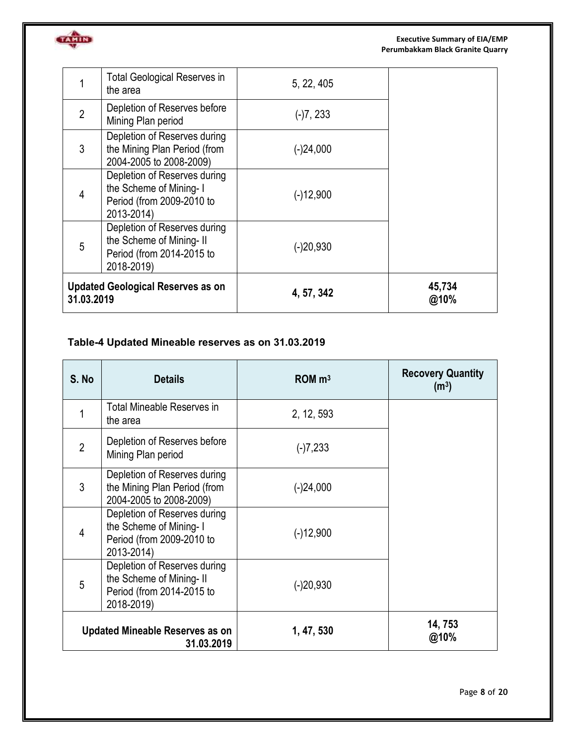

|                | <b>Total Geological Reserves in</b><br>the area                                                    | 5, 22, 405  |                |
|----------------|----------------------------------------------------------------------------------------------------|-------------|----------------|
| $\overline{2}$ | Depletion of Reserves before<br>Mining Plan period                                                 | $(-)7, 233$ |                |
| 3              | Depletion of Reserves during<br>the Mining Plan Period (from<br>2004-2005 to 2008-2009)            | $(-)24,000$ |                |
| 4              | Depletion of Reserves during<br>the Scheme of Mining-I<br>Period (from 2009-2010 to<br>2013-2014)  | $(-)12,900$ |                |
| 5              | Depletion of Reserves during<br>the Scheme of Mining-II<br>Period (from 2014-2015 to<br>2018-2019) | $(-)20,930$ |                |
| 31.03.2019     | <b>Updated Geological Reserves as on</b>                                                           | 4, 57, 342  | 45,734<br>@10% |

# **Table-4 Updated Mineable reserves as on 31.03.2019**

TANID

| S. No          | <b>Details</b>                                                                                      | $ROM \, m3$ | <b>Recovery Quantity</b><br>(m <sup>3</sup> ) |
|----------------|-----------------------------------------------------------------------------------------------------|-------------|-----------------------------------------------|
| 1              | Total Mineable Reserves in<br>the area                                                              | 2, 12, 593  |                                               |
| $\overline{2}$ | Depletion of Reserves before<br>Mining Plan period                                                  | $(-)7,233$  |                                               |
| 3              | Depletion of Reserves during<br>the Mining Plan Period (from<br>2004-2005 to 2008-2009)             | $(-)24,000$ |                                               |
| 4              | Depletion of Reserves during<br>the Scheme of Mining-I<br>Period (from 2009-2010 to<br>2013-2014)   | $(-)12,900$ |                                               |
| 5              | Depletion of Reserves during<br>the Scheme of Mining- II<br>Period (from 2014-2015 to<br>2018-2019) | $(-)20,930$ |                                               |
|                | Updated Mineable Reserves as on<br>31.03.2019                                                       | 1, 47, 530  | 14, 753<br>@10%                               |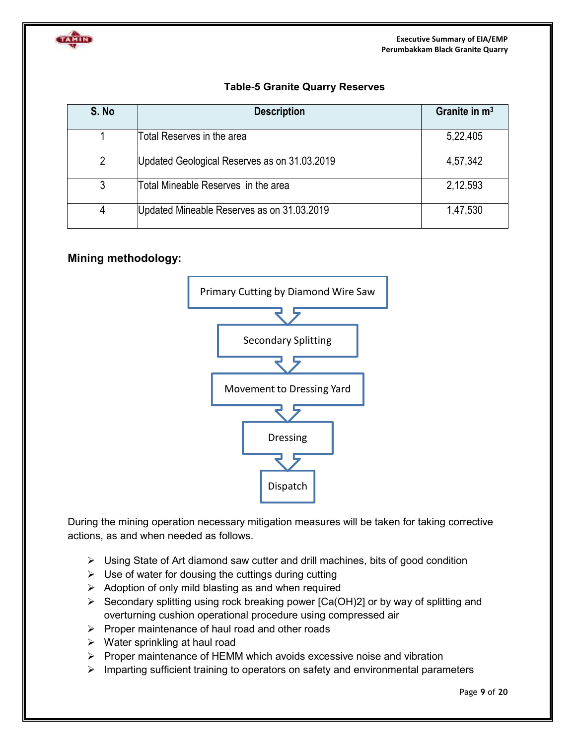

### **Table-5 Granite Quarry Reserves**

| S. No | <b>Description</b>                           | Granite in $m3$ |
|-------|----------------------------------------------|-----------------|
|       | Total Reserves in the area                   | 5,22,405        |
| 2     | Updated Geological Reserves as on 31.03.2019 | 4,57,342        |
|       | Total Mineable Reserves in the area          | 2,12,593        |
| 4     | Updated Mineable Reserves as on 31.03.2019   | 1,47,530        |

## **Mining methodology:**



During the mining operation necessary mitigation measures will be taken for taking corrective actions, as and when needed as follows.

- $\triangleright$  Using State of Art diamond saw cutter and drill machines, bits of good condition
- $\triangleright$  Use of water for dousing the cuttings during cutting
- $\triangleright$  Adoption of only mild blasting as and when required
- $\triangleright$  Secondary splitting using rock breaking power [Ca(OH)2] or by way of splitting and overturning cushion operational procedure using compressed air
- $\triangleright$  Proper maintenance of haul road and other roads
- $\triangleright$  Water sprinkling at haul road
- $\triangleright$  Proper maintenance of HEMM which avoids excessive noise and vibration
- $\triangleright$  Imparting sufficient training to operators on safety and environmental parameters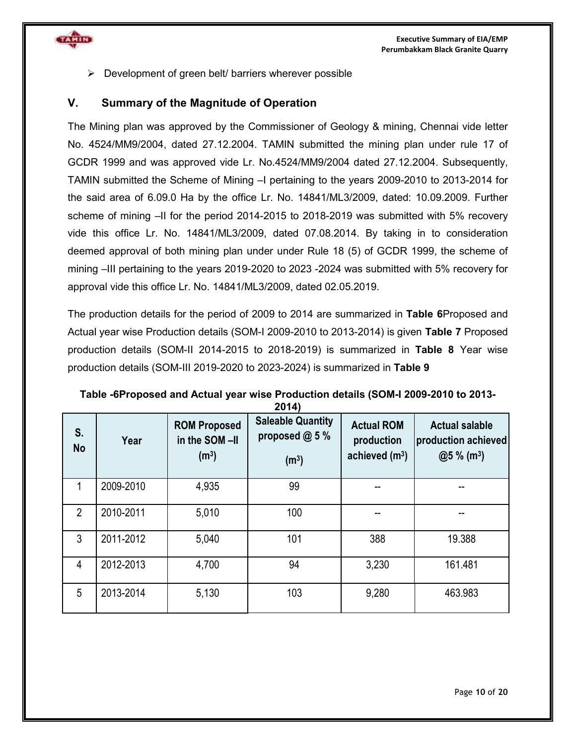

 $\triangleright$  Development of green belt/ barriers wherever possible

#### **V. Summary of the Magnitude of Operation**

The Mining plan was approved by the Commissioner of Geology & mining, Chennai vide letter No. 4524/MM9/2004, dated 27.12.2004. TAMIN submitted the mining plan under rule 17 of GCDR 1999 and was approved vide Lr. No.4524/MM9/2004 dated 27.12.2004. Subsequently, TAMIN submitted the Scheme of Mining –I pertaining to the years 2009-2010 to 2013-2014 for the said area of 6.09.0 Ha by the office Lr. No. 14841/ML3/2009, dated: 10.09.2009. Further scheme of mining –II for the period 2014-2015 to 2018-2019 was submitted with 5% recovery vide this office Lr. No. 14841/ML3/2009, dated 07.08.2014. By taking in to consideration deemed approval of both mining plan under under Rule 18 (5) of GCDR 1999, the scheme of mining –III pertaining to the years 2019-2020 to 2023 -2024 was submitted with 5% recovery for approval vide this office Lr. No. 14841/ML3/2009, dated 02.05.2019.

The production details for the period of 2009 to 2014 are summarized in **Table 6**Proposed and Actual year wise Production details (SOM-I 2009-2010 to 2013-2014) is given **Table 7** Proposed production details (SOM-II 2014-2015 to 2018-2019) is summarized in **Table 8** Year wise production details (SOM-III 2019-2020 to 2023-2024) is summarized in **Table 9** 

| S.<br><b>No</b> | Year      | <b>ROM Proposed</b><br>in the SOM-II<br>(m <sup>3</sup> ) | ZV 14)<br><b>Saleable Quantity</b><br>proposed $@5%$<br>(m <sup>3</sup> ) | <b>Actual ROM</b><br>production<br>achieved $(m3)$ | <b>Actual salable</b><br>production achieved<br>$@5%$ (m <sup>3</sup> ) |
|-----------------|-----------|-----------------------------------------------------------|---------------------------------------------------------------------------|----------------------------------------------------|-------------------------------------------------------------------------|
| 1               | 2009-2010 | 4,935                                                     | 99                                                                        |                                                    |                                                                         |
| $\overline{2}$  | 2010-2011 | 5,010                                                     | 100                                                                       |                                                    |                                                                         |
| 3               | 2011-2012 | 5,040                                                     | 101                                                                       | 388                                                | 19.388                                                                  |
| 4               | 2012-2013 | 4,700                                                     | 94                                                                        | 3,230                                              | 161.481                                                                 |
| 5               | 2013-2014 | 5,130                                                     | 103                                                                       | 9,280                                              | 463.983                                                                 |

**Table -6Proposed and Actual year wise Production details (SOM-I 2009-2010 to 2013- 2014)**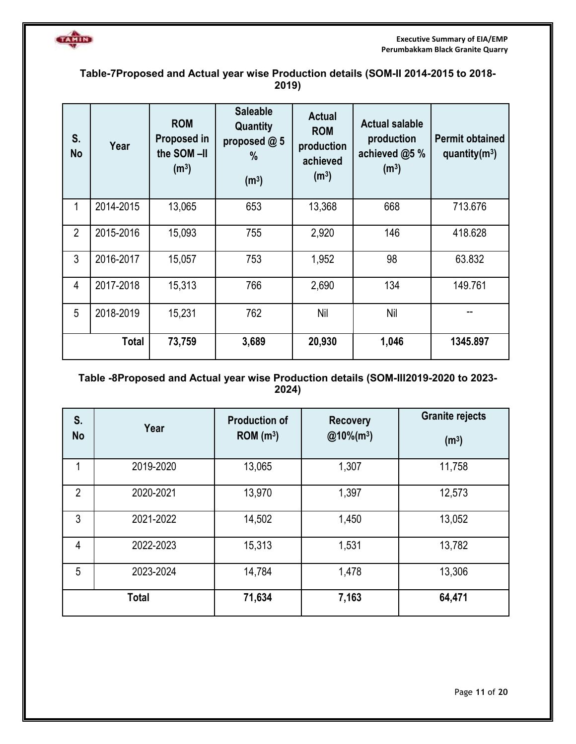

## **Table-7Proposed and Actual year wise Production details (SOM-II 2014-2015 to 2018- 2019)**

| S.<br><b>No</b> | Year         | <b>ROM</b><br>Proposed in<br>the SOM-II<br>(m <sup>3</sup> ) | <b>Saleable</b><br>Quantity<br>proposed @ 5<br>$\%$<br>(m <sup>3</sup> ) | <b>Actual</b><br><b>ROM</b><br>production<br>achieved<br>(m <sup>3</sup> ) | <b>Actual salable</b><br>production<br>achieved @5 %<br>(m <sup>3</sup> ) | <b>Permit obtained</b><br>quantity $(m^3)$ |
|-----------------|--------------|--------------------------------------------------------------|--------------------------------------------------------------------------|----------------------------------------------------------------------------|---------------------------------------------------------------------------|--------------------------------------------|
| 1               | 2014-2015    | 13,065                                                       | 653                                                                      | 13,368                                                                     | 668                                                                       | 713.676                                    |
| $\overline{2}$  | 2015-2016    | 15,093                                                       | 755                                                                      | 2,920                                                                      | 146                                                                       | 418.628                                    |
| 3               | 2016-2017    | 15,057                                                       | 753                                                                      | 1,952                                                                      | 98                                                                        | 63.832                                     |
| $\overline{4}$  | 2017-2018    | 15,313                                                       | 766                                                                      | 2,690                                                                      | 134                                                                       | 149.761                                    |
| 5               | 2018-2019    | 15,231                                                       | 762                                                                      | Nil                                                                        | Nil                                                                       |                                            |
|                 | <b>Total</b> | 73,759                                                       | 3,689                                                                    | 20,930                                                                     | 1,046                                                                     | 1345.897                                   |

## **Table -8Proposed and Actual year wise Production details (SOM-III2019-2020 to 2023- 2024)**

| S.<br><b>No</b> | Year         | <b>Production of</b><br>ROM(m <sup>3</sup> ) | <b>Recovery</b><br>$@10\%$ (m <sup>3</sup> ) | <b>Granite rejects</b><br>(m <sup>3</sup> ) |
|-----------------|--------------|----------------------------------------------|----------------------------------------------|---------------------------------------------|
| 1               | 2019-2020    | 13,065                                       | 1,307                                        | 11,758                                      |
| $\overline{2}$  | 2020-2021    | 13,970                                       | 1,397                                        | 12,573                                      |
| 3               | 2021-2022    | 14,502                                       | 1,450                                        | 13,052                                      |
| 4               | 2022-2023    | 15,313                                       | 1,531                                        | 13,782                                      |
| 5               | 2023-2024    | 14,784                                       | 1,478                                        | 13,306                                      |
|                 | <b>Total</b> | 71,634                                       | 7,163                                        | 64,471                                      |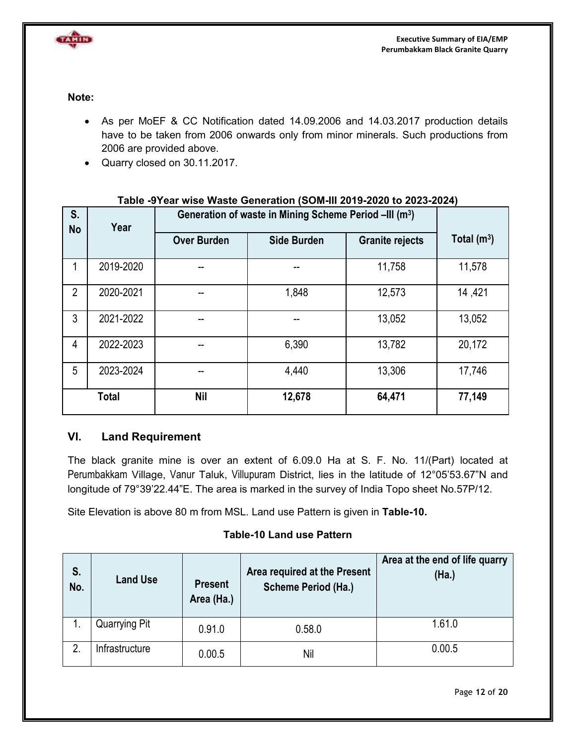

**Note:**

- As per MoEF & CC Notification dated 14.09.2006 and 14.03.2017 production details have to be taken from 2006 onwards only from minor minerals. Such productions from 2006 are provided above.
- Quarry closed on 30.11.2017.

| S.<br>Year<br><b>No</b> |              |                    | Generation of waste in Mining Scheme Period -III (m <sup>3</sup> ) |                        |               |
|-------------------------|--------------|--------------------|--------------------------------------------------------------------|------------------------|---------------|
|                         |              | <b>Over Burden</b> | <b>Side Burden</b>                                                 | <b>Granite rejects</b> | Total $(m^3)$ |
| 1                       | 2019-2020    | --                 |                                                                    | 11,758                 | 11,578        |
| $\overline{2}$          | 2020-2021    |                    | 1,848                                                              | 12,573                 | 14,421        |
| 3                       | 2021-2022    | --                 |                                                                    | 13,052                 | 13,052        |
| 4                       | 2022-2023    |                    | 6,390                                                              | 13,782                 | 20,172        |
| 5                       | 2023-2024    | --                 | 4,440                                                              | 13,306                 | 17,746        |
|                         | <b>Total</b> | <b>Nil</b>         | 12,678                                                             | 64,471                 | 77,149        |

#### **Table -9Year wise Waste Generation (SOM-III 2019-2020 to 2023-2024)**

## **VI. Land Requirement**

The black granite mine is over an extent of 6.09.0 Ha at S. F. No. 11/(Part) located at Perumbakkam Village, Vanur Taluk, Villupuram District, lies in the latitude of 12°05'53.67"N and longitude of 79°39'22.44"E. The area is marked in the survey of India Topo sheet No.57P/12.

Site Elevation is above 80 m from MSL. Land use Pattern is given in **Table-10.** 

## **Table-10 Land use Pattern**

| S.<br>No.    | <b>Land Use</b> | <b>Present</b><br>Area (Ha.) | Area required at the Present<br>Scheme Period (Ha.) | Area at the end of life quarry<br>(Ha.) |
|--------------|-----------------|------------------------------|-----------------------------------------------------|-----------------------------------------|
| ι.           | Quarrying Pit   | 0.91.0                       | 0.58.0                                              | 1.61.0                                  |
| $\mathbf{2}$ | Infrastructure  | 0.00.5                       | Nil                                                 | 0.00.5                                  |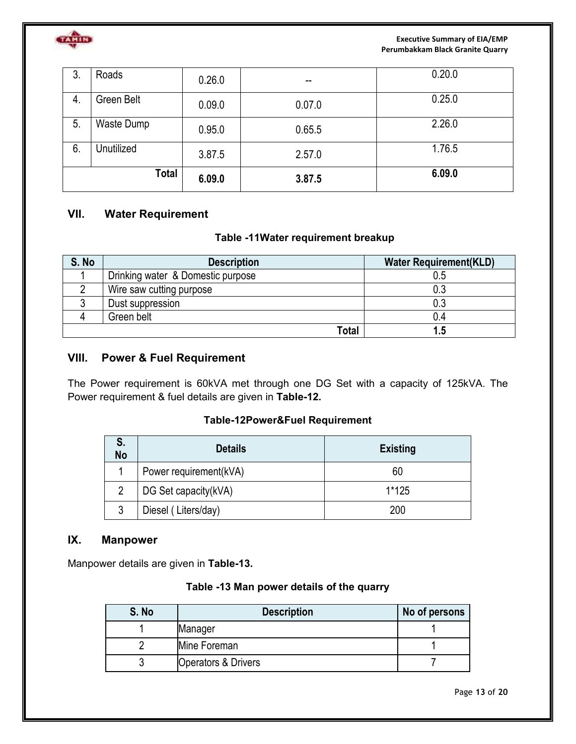

**Executive Summary of EIA/EMP Perumbakkam Black Granite Quarry** 

| 3. | Roads        | 0.26.0 | $\sim$ $\sim$ | 0.20.0 |
|----|--------------|--------|---------------|--------|
| 4. | Green Belt   | 0.09.0 | 0.07.0        | 0.25.0 |
| 5. | Waste Dump   | 0.95.0 | 0.65.5        | 2.26.0 |
| 6. | Unutilized   | 3.87.5 | 2.57.0        | 1.76.5 |
|    | <b>Total</b> | 6.09.0 | 3.87.5        | 6.09.0 |

## **VII. Water Requirement**

#### **Table -11Water requirement breakup**

| S. No | <b>Description</b>                | <b>Water Requirement(KLD)</b> |
|-------|-----------------------------------|-------------------------------|
|       | Drinking water & Domestic purpose | 0.5                           |
|       | Wire saw cutting purpose          | 0.3                           |
|       | Dust suppression                  | 0.3                           |
|       | Green belt                        | 0.4                           |
|       | Total                             |                               |

# **VIII. Power & Fuel Requirement**

The Power requirement is 60kVA met through one DG Set with a capacity of 125kVA. The Power requirement & fuel details are given in **Table-12.** 

#### **Table-12Power&Fuel Requirement**

| S.<br>No | <b>Details</b>         | <b>Existing</b> |
|----------|------------------------|-----------------|
|          | Power requirement(kVA) | 60              |
| 2        | DG Set capacity(kVA)   | $1*125$         |
| 3        | Diesel (Liters/day)    | 200             |

#### **IX. Manpower**

Manpower details are given in **Table-13.**

### **Table -13 Man power details of the quarry**

| S. No | <b>Description</b>  | No of persons |
|-------|---------------------|---------------|
|       | Manager             |               |
|       | Mine Foreman        |               |
|       | Operators & Drivers |               |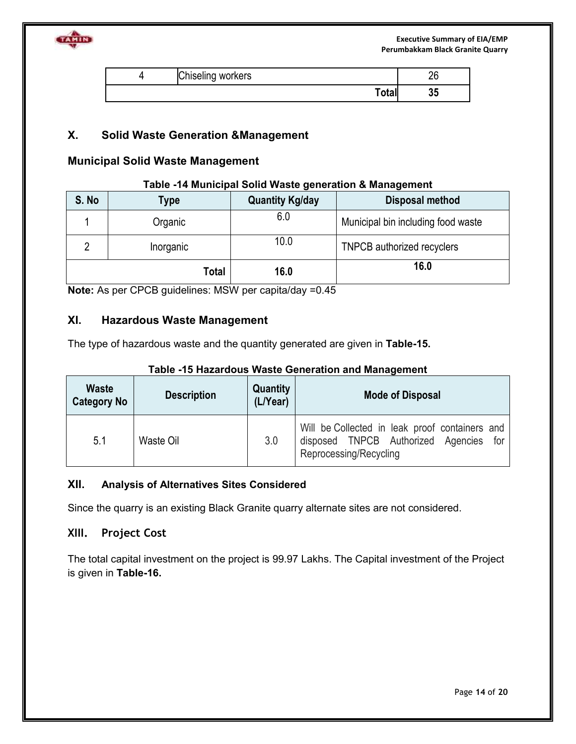

| Chiseling workers | nr<br>۷J |
|-------------------|----------|
| Total             | 0F<br>აა |

## **X. Solid Waste Generation &Management**

#### **Municipal Solid Waste Management**

#### **Table -14 Municipal Solid Waste generation & Management**

| S. No | Type      | <b>Quantity Kg/day</b> | <b>Disposal method</b>             |
|-------|-----------|------------------------|------------------------------------|
|       | Organic   | 6.0                    | Municipal bin including food waste |
|       | Inorganic | 10.0                   | <b>TNPCB</b> authorized recyclers  |
|       | Total     | 16.0                   | 16.0                               |

**Note:** As per CPCB guidelines: MSW per capita/day =0.45

## **XI. Hazardous Waste Management**

The type of hazardous waste and the quantity generated are given in **Table-15.**

| <b>Waste</b><br><b>Category No</b> | <b>Description</b> | Quantity<br>(L/Year) | <b>Mode of Disposal</b>                                                                                               |
|------------------------------------|--------------------|----------------------|-----------------------------------------------------------------------------------------------------------------------|
| 5.1                                | Waste Oil          | 3.0                  | Will be Collected in leak proof containers and<br>disposed TNPCB Authorized Agencies<br>for<br>Reprocessing/Recycling |

#### **Table -15 Hazardous Waste Generation and Management**

#### **XII. Analysis of Alternatives Sites Considered**

Since the quarry is an existing Black Granite quarry alternate sites are not considered.

## **XIII. Project Cost**

The total capital investment on the project is 99.97 Lakhs. The Capital investment of the Project is given in **Table-16.**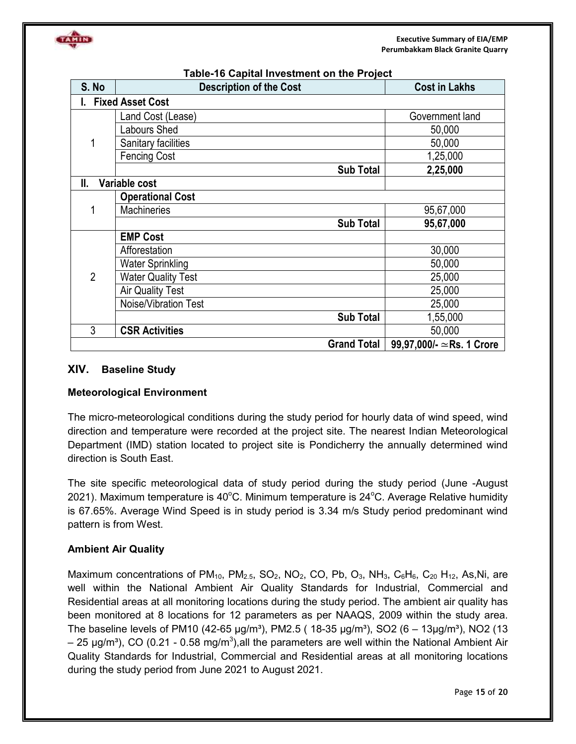

| S. No          | <b>Description of the Cost</b> | <b>Cost in Lakhs</b>             |
|----------------|--------------------------------|----------------------------------|
|                | <b>Fixed Asset Cost</b>        |                                  |
|                | Land Cost (Lease)              | Government land                  |
|                | abours Shed                    | 50,000                           |
| 1              | Sanitary facilities            | 50,000                           |
|                | <b>Fencing Cost</b>            | 1,25,000                         |
|                | <b>Sub Total</b>               | 2,25,000                         |
| II.            | Variable cost                  |                                  |
|                | <b>Operational Cost</b>        |                                  |
|                | <b>Machineries</b>             | 95,67,000                        |
|                | <b>Sub Total</b>               | 95,67,000                        |
|                | <b>EMP Cost</b>                |                                  |
|                | Afforestation                  | 30,000                           |
|                | <b>Water Sprinkling</b>        | 50,000                           |
| $\overline{2}$ | <b>Water Quality Test</b>      | 25,000                           |
|                | <b>Air Quality Test</b>        | 25,000                           |
|                | Noise/Vibration Test           | 25,000                           |
|                | <b>Sub Total</b>               | 1,55,000                         |
| 3              | <b>CSR Activities</b>          | 50,000                           |
|                | <b>Grand Total</b>             | 99,97,000/- $\simeq$ Rs. 1 Crore |

#### **Table-16 Capital Investment on the Project**

#### **XIV. Baseline Study**

#### **Meteorological Environment**

The micro-meteorological conditions during the study period for hourly data of wind speed, wind direction and temperature were recorded at the project site. The nearest Indian Meteorological Department (IMD) station located to project site is Pondicherry the annually determined wind direction is South East.

The site specific meteorological data of study period during the study period (June -August 2021). Maximum temperature is 40 $\degree$ C. Minimum temperature is 24 $\degree$ C. Average Relative humidity is 67.65%. Average Wind Speed is in study period is 3.34 m/s Study period predominant wind pattern is from West.

#### **Ambient Air Quality**

Maximum concentrations of  $PM_{10}$ ,  $PM_{2.5}$ ,  $SO_2$ ,  $NO_2$ ,  $CO$ ,  $Pb$ ,  $O_3$ ,  $NH_3$ ,  $C_6H_6$ ,  $C_{20}$   $H_{12}$ , As,Ni, are well within the National Ambient Air Quality Standards for Industrial, Commercial and Residential areas at all monitoring locations during the study period. The ambient air quality has been monitored at 8 locations for 12 parameters as per NAAQS, 2009 within the study area. The baseline levels of PM10 (42-65  $\mu q/m^3$ ), PM2.5 ( 18-35  $\mu q/m^3$ ), SO2 (6 – 13 $\mu q/m^3$ ), NO2 (13 – 25 μg/m<sup>3</sup>), CO (0.21 - 0.58 mg/m<sup>3</sup>),all the parameters are well within the National Ambient Air Quality Standards for Industrial, Commercial and Residential areas at all monitoring locations during the study period from June 2021 to August 2021.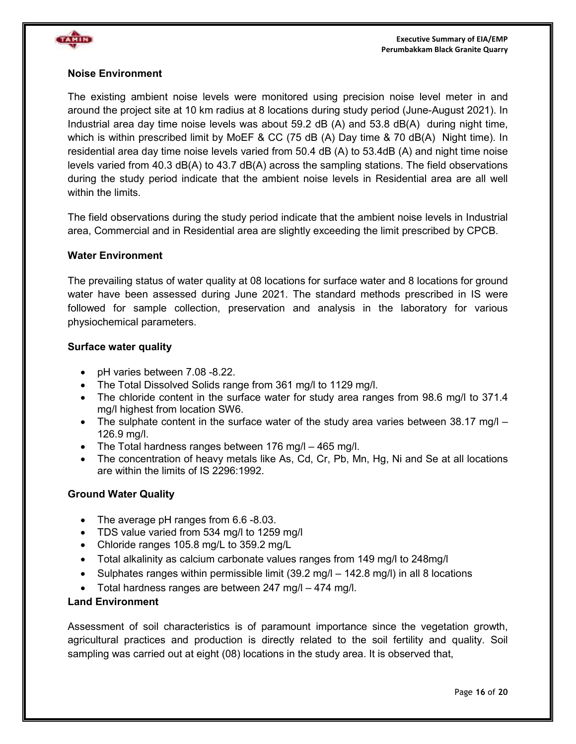

#### **Noise Environment**

The existing ambient noise levels were monitored using precision noise level meter in and around the project site at 10 km radius at 8 locations during study period (June-August 2021). In Industrial area day time noise levels was about 59.2 dB (A) and 53.8 dB(A) during night time, which is within prescribed limit by MoEF & CC (75 dB (A) Day time & 70 dB(A) Night time). In residential area day time noise levels varied from 50.4 dB (A) to 53.4dB (A) and night time noise levels varied from 40.3 dB(A) to 43.7 dB(A) across the sampling stations. The field observations during the study period indicate that the ambient noise levels in Residential area are all well within the limits.

The field observations during the study period indicate that the ambient noise levels in Industrial area, Commercial and in Residential area are slightly exceeding the limit prescribed by CPCB.

#### **Water Environment**

The prevailing status of water quality at 08 locations for surface water and 8 locations for ground water have been assessed during June 2021. The standard methods prescribed in IS were followed for sample collection, preservation and analysis in the laboratory for various physiochemical parameters.

#### **Surface water quality**

- pH varies between 7.08 -8.22.
- The Total Dissolved Solids range from 361 mg/l to 1129 mg/l.
- The chloride content in the surface water for study area ranges from 98.6 mg/l to 371.4 mg/l highest from location SW6.
- The sulphate content in the surface water of the study area varies between  $38.17 \text{ mgl}$  126.9 mg/l.
- The Total hardness ranges between 176 mg/l 465 mg/l.
- The concentration of heavy metals like As, Cd, Cr, Pb, Mn, Hg, Ni and Se at all locations are within the limits of IS 2296:1992.

#### **Ground Water Quality**

- The average pH ranges from 6.6 -8.03.
- TDS value varied from 534 mg/l to 1259 mg/l
- Chloride ranges 105.8 mg/L to 359.2 mg/L
- Total alkalinity as calcium carbonate values ranges from 149 mg/l to 248mg/l
- Sulphates ranges within permissible limit (39.2 mg/l 142.8 mg/l) in all 8 locations
- Total hardness ranges are between 247 mg/l 474 mg/l.

#### **Land Environment**

Assessment of soil characteristics is of paramount importance since the vegetation growth, agricultural practices and production is directly related to the soil fertility and quality. Soil sampling was carried out at eight (08) locations in the study area. It is observed that,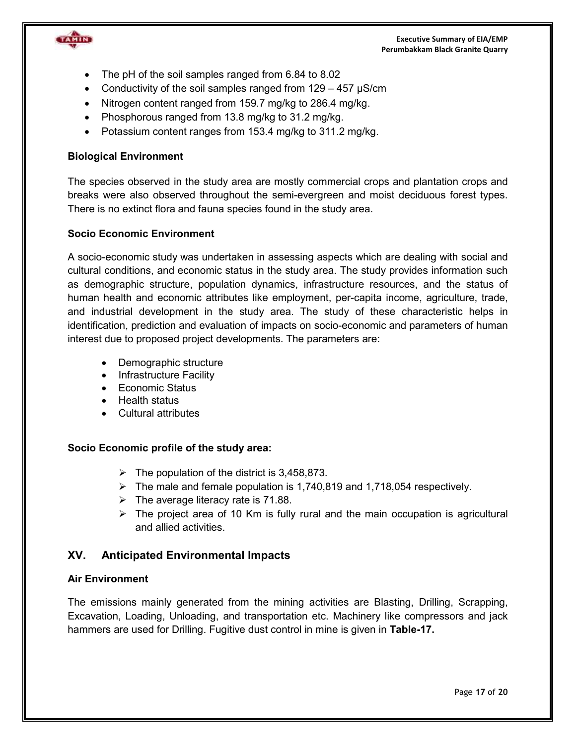**Executive Summary of EIA/EMP Perumbakkam Black Granite Quarry** 



- The pH of the soil samples ranged from 6.84 to 8.02
- Conductivity of the soil samples ranged from  $129 457 \mu S/cm$
- Nitrogen content ranged from 159.7 mg/kg to 286.4 mg/kg.
- Phosphorous ranged from 13.8 mg/kg to 31.2 mg/kg.
- Potassium content ranges from 153.4 mg/kg to 311.2 mg/kg.

#### **Biological Environment**

The species observed in the study area are mostly commercial crops and plantation crops and breaks were also observed throughout the semi-evergreen and moist deciduous forest types. There is no extinct flora and fauna species found in the study area.

#### **Socio Economic Environment**

A socio-economic study was undertaken in assessing aspects which are dealing with social and cultural conditions, and economic status in the study area. The study provides information such as demographic structure, population dynamics, infrastructure resources, and the status of human health and economic attributes like employment, per-capita income, agriculture, trade, and industrial development in the study area. The study of these characteristic helps in identification, prediction and evaluation of impacts on socio-economic and parameters of human interest due to proposed project developments. The parameters are:

- Demographic structure
- Infrastructure Facility
- Economic Status
- Health status
- Cultural attributes

#### **Socio Economic profile of the study area:**

- $\triangleright$  The population of the district is 3,458,873.
- $\triangleright$  The male and female population is 1,740,819 and 1,718,054 respectively.
- $\triangleright$  The average literacy rate is 71.88.
- $\triangleright$  The project area of 10 Km is fully rural and the main occupation is agricultural and allied activities.

## **XV. Anticipated Environmental Impacts**

#### **Air Environment**

The emissions mainly generated from the mining activities are Blasting, Drilling, Scrapping, Excavation, Loading, Unloading, and transportation etc. Machinery like compressors and jack hammers are used for Drilling. Fugitive dust control in mine is given in **Table-17.**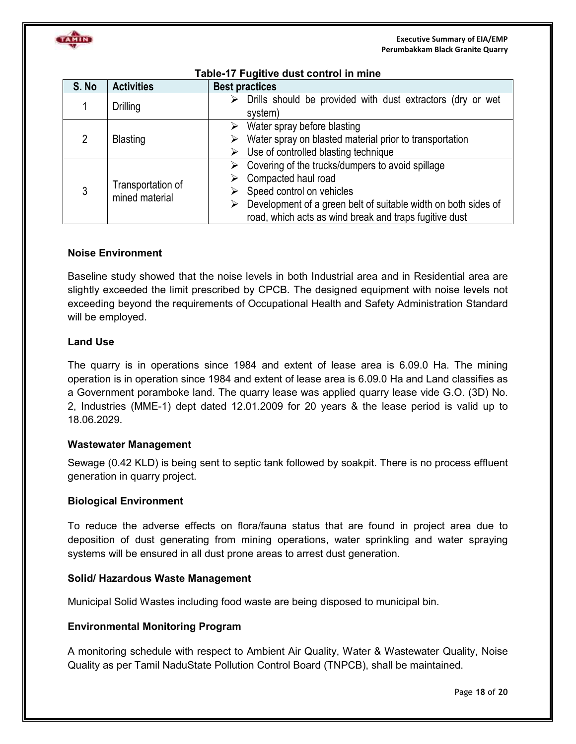

| S. No | <b>Activities</b>                   | <b>Best practices</b>                                                                                                                                                                                                                      |  |  |
|-------|-------------------------------------|--------------------------------------------------------------------------------------------------------------------------------------------------------------------------------------------------------------------------------------------|--|--|
|       | <b>Drilling</b>                     | Drills should be provided with dust extractors (dry or wet<br>➤<br>system)                                                                                                                                                                 |  |  |
| 2     | <b>Blasting</b>                     | Water spray before blasting<br>➤<br>Water spray on blasted material prior to transportation<br>➤<br>Use of controlled blasting technique<br>➤                                                                                              |  |  |
| 3     | Transportation of<br>mined material | Covering of the trucks/dumpers to avoid spillage<br>Compacted haul road<br>➤<br>Speed control on vehicles<br>Development of a green belt of suitable width on both sides of<br>⋗<br>road, which acts as wind break and traps fugitive dust |  |  |

## **Table-17 Fugitive dust control in mine**

#### **Noise Environment**

Baseline study showed that the noise levels in both Industrial area and in Residential area are slightly exceeded the limit prescribed by CPCB. The designed equipment with noise levels not exceeding beyond the requirements of Occupational Health and Safety Administration Standard will be employed.

#### **Land Use**

The quarry is in operations since 1984 and extent of lease area is 6.09.0 Ha. The mining operation is in operation since 1984 and extent of lease area is 6.09.0 Ha and Land classifies as a Government poramboke land. The quarry lease was applied quarry lease vide G.O. (3D) No. 2, Industries (MME-1) dept dated 12.01.2009 for 20 years & the lease period is valid up to 18.06.2029.

#### **Wastewater Management**

Sewage (0.42 KLD) is being sent to septic tank followed by soakpit. There is no process effluent generation in quarry project.

#### **Biological Environment**

To reduce the adverse effects on flora/fauna status that are found in project area due to deposition of dust generating from mining operations, water sprinkling and water spraying systems will be ensured in all dust prone areas to arrest dust generation.

#### **Solid/ Hazardous Waste Management**

Municipal Solid Wastes including food waste are being disposed to municipal bin.

#### **Environmental Monitoring Program**

A monitoring schedule with respect to Ambient Air Quality, Water & Wastewater Quality, Noise Quality as per Tamil NaduState Pollution Control Board (TNPCB), shall be maintained.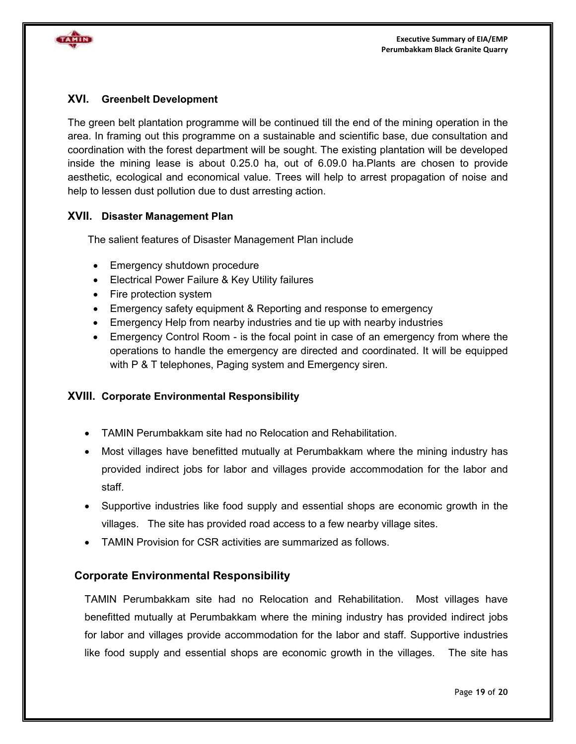

#### **XVI. Greenbelt Development**

The green belt plantation programme will be continued till the end of the mining operation in the area. In framing out this programme on a sustainable and scientific base, due consultation and coordination with the forest department will be sought. The existing plantation will be developed inside the mining lease is about 0.25.0 ha, out of 6.09.0 ha.Plants are chosen to provide aesthetic, ecological and economical value. Trees will help to arrest propagation of noise and help to lessen dust pollution due to dust arresting action.

#### **XVII. Disaster Management Plan**

The salient features of Disaster Management Plan include

- Emergency shutdown procedure
- Electrical Power Failure & Key Utility failures
- Fire protection system
- Emergency safety equipment & Reporting and response to emergency
- Emergency Help from nearby industries and tie up with nearby industries
- Emergency Control Room is the focal point in case of an emergency from where the operations to handle the emergency are directed and coordinated. It will be equipped with P & T telephones, Paging system and Emergency siren.

#### **XVIII. Corporate Environmental Responsibility**

- TAMIN Perumbakkam site had no Relocation and Rehabilitation.
- Most villages have benefitted mutually at Perumbakkam where the mining industry has provided indirect jobs for labor and villages provide accommodation for the labor and staff.
- Supportive industries like food supply and essential shops are economic growth in the villages. The site has provided road access to a few nearby village sites.
- TAMIN Provision for CSR activities are summarized as follows.

## **Corporate Environmental Responsibility**

TAMIN Perumbakkam site had no Relocation and Rehabilitation. Most villages have benefitted mutually at Perumbakkam where the mining industry has provided indirect jobs for labor and villages provide accommodation for the labor and staff. Supportive industries like food supply and essential shops are economic growth in the villages. The site has